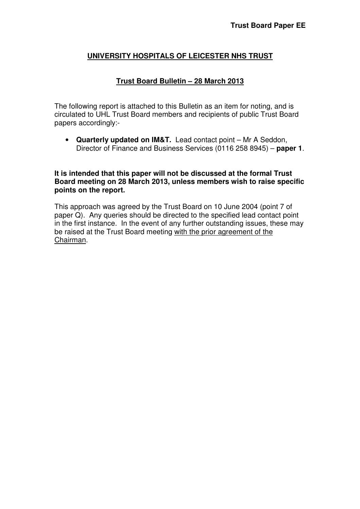## **UNIVERSITY HOSPITALS OF LEICESTER NHS TRUST**

#### **Trust Board Bulletin – 28 March 2013**

The following report is attached to this Bulletin as an item for noting, and is circulated to UHL Trust Board members and recipients of public Trust Board papers accordingly:-

• **Quarterly updated on IM&T.** Lead contact point – Mr A Seddon, Director of Finance and Business Services (0116 258 8945) – **paper 1**.

#### **It is intended that this paper will not be discussed at the formal Trust Board meeting on 28 March 2013, unless members wish to raise specific points on the report.**

This approach was agreed by the Trust Board on 10 June 2004 (point 7 of paper Q). Any queries should be directed to the specified lead contact point in the first instance. In the event of any further outstanding issues, these may be raised at the Trust Board meeting with the prior agreement of the Chairman.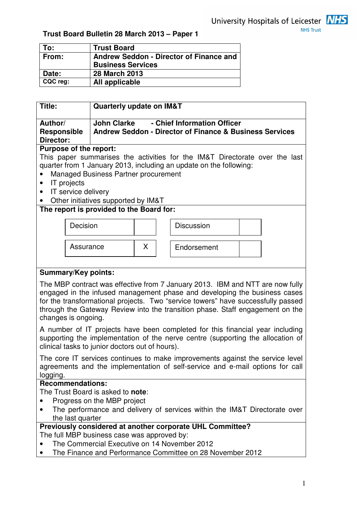

# **Trust Board Bulletin 28 March 2013 – Paper 1**

| To:      | <b>Trust Board</b>                      |
|----------|-----------------------------------------|
| From:    | Andrew Seddon - Director of Finance and |
|          | <b>Business Services</b>                |
| Date:    | <b>28 March 2013</b>                    |
| CQC reg: | All applicable                          |

| - Chief Information Officer<br><b>John Clarke</b><br>Author/<br><b>Andrew Seddon - Director of Finance &amp; Business Services</b><br><b>Responsible</b><br>Director:<br>Purpose of the report:<br>This paper summarises the activities for the IM&T Directorate over the last<br>quarter from 1 January 2013, including an update on the following:<br>Managed Business Partner procurement<br>$\bullet$<br>IT projects<br>$\bullet$<br>IT service delivery<br>$\bullet$<br>Other initiatives supported by IM&T<br>The report is provided to the Board for:<br>Decision<br><b>Discussion</b><br>X.<br>Assurance<br>Endorsement<br><b>Summary/Key points:</b><br>The MBP contract was effective from 7 January 2013. IBM and NTT are now fully<br>engaged in the infused management phase and developing the business cases<br>for the transformational projects. Two "service towers" have successfully passed<br>through the Gateway Review into the transition phase. Staff engagement on the<br>changes is ongoing.<br>A number of IT projects have been completed for this financial year including<br>supporting the implementation of the nerve centre (supporting the allocation of<br>clinical tasks to junior doctors out of hours).<br>The core IT services continues to make improvements against the service level<br>agreements and the implementation of self-service and e-mail options for call<br>logging.<br><b>Recommendations:</b><br>The Trust Board is asked to note:<br>Progress on the MBP project<br>The performance and delivery of services within the IM&T Directorate over<br>the last quarter<br>Previously considered at another corporate UHL Committee?<br>The full MBP business case was approved by: | Title: | <b>Quarterly update on IM&amp;T</b> |  |  |  |  |
|------------------------------------------------------------------------------------------------------------------------------------------------------------------------------------------------------------------------------------------------------------------------------------------------------------------------------------------------------------------------------------------------------------------------------------------------------------------------------------------------------------------------------------------------------------------------------------------------------------------------------------------------------------------------------------------------------------------------------------------------------------------------------------------------------------------------------------------------------------------------------------------------------------------------------------------------------------------------------------------------------------------------------------------------------------------------------------------------------------------------------------------------------------------------------------------------------------------------------------------------------------------------------------------------------------------------------------------------------------------------------------------------------------------------------------------------------------------------------------------------------------------------------------------------------------------------------------------------------------------------------------------------------------------------------------------------------------------------------------------|--------|-------------------------------------|--|--|--|--|
|                                                                                                                                                                                                                                                                                                                                                                                                                                                                                                                                                                                                                                                                                                                                                                                                                                                                                                                                                                                                                                                                                                                                                                                                                                                                                                                                                                                                                                                                                                                                                                                                                                                                                                                                          |        |                                     |  |  |  |  |
|                                                                                                                                                                                                                                                                                                                                                                                                                                                                                                                                                                                                                                                                                                                                                                                                                                                                                                                                                                                                                                                                                                                                                                                                                                                                                                                                                                                                                                                                                                                                                                                                                                                                                                                                          |        |                                     |  |  |  |  |
|                                                                                                                                                                                                                                                                                                                                                                                                                                                                                                                                                                                                                                                                                                                                                                                                                                                                                                                                                                                                                                                                                                                                                                                                                                                                                                                                                                                                                                                                                                                                                                                                                                                                                                                                          |        |                                     |  |  |  |  |
|                                                                                                                                                                                                                                                                                                                                                                                                                                                                                                                                                                                                                                                                                                                                                                                                                                                                                                                                                                                                                                                                                                                                                                                                                                                                                                                                                                                                                                                                                                                                                                                                                                                                                                                                          |        |                                     |  |  |  |  |
|                                                                                                                                                                                                                                                                                                                                                                                                                                                                                                                                                                                                                                                                                                                                                                                                                                                                                                                                                                                                                                                                                                                                                                                                                                                                                                                                                                                                                                                                                                                                                                                                                                                                                                                                          |        |                                     |  |  |  |  |
|                                                                                                                                                                                                                                                                                                                                                                                                                                                                                                                                                                                                                                                                                                                                                                                                                                                                                                                                                                                                                                                                                                                                                                                                                                                                                                                                                                                                                                                                                                                                                                                                                                                                                                                                          |        |                                     |  |  |  |  |
|                                                                                                                                                                                                                                                                                                                                                                                                                                                                                                                                                                                                                                                                                                                                                                                                                                                                                                                                                                                                                                                                                                                                                                                                                                                                                                                                                                                                                                                                                                                                                                                                                                                                                                                                          |        |                                     |  |  |  |  |
|                                                                                                                                                                                                                                                                                                                                                                                                                                                                                                                                                                                                                                                                                                                                                                                                                                                                                                                                                                                                                                                                                                                                                                                                                                                                                                                                                                                                                                                                                                                                                                                                                                                                                                                                          |        |                                     |  |  |  |  |
|                                                                                                                                                                                                                                                                                                                                                                                                                                                                                                                                                                                                                                                                                                                                                                                                                                                                                                                                                                                                                                                                                                                                                                                                                                                                                                                                                                                                                                                                                                                                                                                                                                                                                                                                          |        |                                     |  |  |  |  |
|                                                                                                                                                                                                                                                                                                                                                                                                                                                                                                                                                                                                                                                                                                                                                                                                                                                                                                                                                                                                                                                                                                                                                                                                                                                                                                                                                                                                                                                                                                                                                                                                                                                                                                                                          |        |                                     |  |  |  |  |
|                                                                                                                                                                                                                                                                                                                                                                                                                                                                                                                                                                                                                                                                                                                                                                                                                                                                                                                                                                                                                                                                                                                                                                                                                                                                                                                                                                                                                                                                                                                                                                                                                                                                                                                                          |        |                                     |  |  |  |  |
|                                                                                                                                                                                                                                                                                                                                                                                                                                                                                                                                                                                                                                                                                                                                                                                                                                                                                                                                                                                                                                                                                                                                                                                                                                                                                                                                                                                                                                                                                                                                                                                                                                                                                                                                          |        |                                     |  |  |  |  |
|                                                                                                                                                                                                                                                                                                                                                                                                                                                                                                                                                                                                                                                                                                                                                                                                                                                                                                                                                                                                                                                                                                                                                                                                                                                                                                                                                                                                                                                                                                                                                                                                                                                                                                                                          |        |                                     |  |  |  |  |
|                                                                                                                                                                                                                                                                                                                                                                                                                                                                                                                                                                                                                                                                                                                                                                                                                                                                                                                                                                                                                                                                                                                                                                                                                                                                                                                                                                                                                                                                                                                                                                                                                                                                                                                                          |        |                                     |  |  |  |  |
|                                                                                                                                                                                                                                                                                                                                                                                                                                                                                                                                                                                                                                                                                                                                                                                                                                                                                                                                                                                                                                                                                                                                                                                                                                                                                                                                                                                                                                                                                                                                                                                                                                                                                                                                          |        |                                     |  |  |  |  |
|                                                                                                                                                                                                                                                                                                                                                                                                                                                                                                                                                                                                                                                                                                                                                                                                                                                                                                                                                                                                                                                                                                                                                                                                                                                                                                                                                                                                                                                                                                                                                                                                                                                                                                                                          |        |                                     |  |  |  |  |
|                                                                                                                                                                                                                                                                                                                                                                                                                                                                                                                                                                                                                                                                                                                                                                                                                                                                                                                                                                                                                                                                                                                                                                                                                                                                                                                                                                                                                                                                                                                                                                                                                                                                                                                                          |        |                                     |  |  |  |  |
|                                                                                                                                                                                                                                                                                                                                                                                                                                                                                                                                                                                                                                                                                                                                                                                                                                                                                                                                                                                                                                                                                                                                                                                                                                                                                                                                                                                                                                                                                                                                                                                                                                                                                                                                          |        |                                     |  |  |  |  |
|                                                                                                                                                                                                                                                                                                                                                                                                                                                                                                                                                                                                                                                                                                                                                                                                                                                                                                                                                                                                                                                                                                                                                                                                                                                                                                                                                                                                                                                                                                                                                                                                                                                                                                                                          |        |                                     |  |  |  |  |
|                                                                                                                                                                                                                                                                                                                                                                                                                                                                                                                                                                                                                                                                                                                                                                                                                                                                                                                                                                                                                                                                                                                                                                                                                                                                                                                                                                                                                                                                                                                                                                                                                                                                                                                                          |        |                                     |  |  |  |  |
|                                                                                                                                                                                                                                                                                                                                                                                                                                                                                                                                                                                                                                                                                                                                                                                                                                                                                                                                                                                                                                                                                                                                                                                                                                                                                                                                                                                                                                                                                                                                                                                                                                                                                                                                          |        |                                     |  |  |  |  |
|                                                                                                                                                                                                                                                                                                                                                                                                                                                                                                                                                                                                                                                                                                                                                                                                                                                                                                                                                                                                                                                                                                                                                                                                                                                                                                                                                                                                                                                                                                                                                                                                                                                                                                                                          |        |                                     |  |  |  |  |
| The Commercial Executive on 14 November 2012                                                                                                                                                                                                                                                                                                                                                                                                                                                                                                                                                                                                                                                                                                                                                                                                                                                                                                                                                                                                                                                                                                                                                                                                                                                                                                                                                                                                                                                                                                                                                                                                                                                                                             |        |                                     |  |  |  |  |
| The Finance and Performance Committee on 28 November 2012                                                                                                                                                                                                                                                                                                                                                                                                                                                                                                                                                                                                                                                                                                                                                                                                                                                                                                                                                                                                                                                                                                                                                                                                                                                                                                                                                                                                                                                                                                                                                                                                                                                                                |        |                                     |  |  |  |  |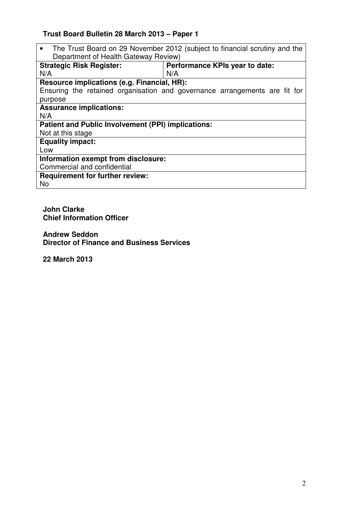# **Trust Board Bulletin 28 March 2013 – Paper 1**

• The Trust Board on 29 November 2012 (subject to financial scrutiny and the Department of Health Gateway Review)

| <b>Strategic Risk Register:</b>                           | Performance KPIs year to date:                                             |  |  |  |  |  |
|-----------------------------------------------------------|----------------------------------------------------------------------------|--|--|--|--|--|
| N/A                                                       | N/A                                                                        |  |  |  |  |  |
| Resource implications (e.g. Financial, HR):               |                                                                            |  |  |  |  |  |
|                                                           | Ensuring the retained organisation and governance arrangements are fit for |  |  |  |  |  |
| purpose                                                   |                                                                            |  |  |  |  |  |
| <b>Assurance implications:</b>                            |                                                                            |  |  |  |  |  |
| N/A                                                       |                                                                            |  |  |  |  |  |
| <b>Patient and Public Involvement (PPI) implications:</b> |                                                                            |  |  |  |  |  |
| Not at this stage                                         |                                                                            |  |  |  |  |  |
| <b>Equality impact:</b>                                   |                                                                            |  |  |  |  |  |
| Low                                                       |                                                                            |  |  |  |  |  |
| Information exempt from disclosure:                       |                                                                            |  |  |  |  |  |
| Commercial and confidential                               |                                                                            |  |  |  |  |  |
| <b>Requirement for further review:</b>                    |                                                                            |  |  |  |  |  |
| No                                                        |                                                                            |  |  |  |  |  |

**John Clarke Chief Information Officer** 

**Andrew Seddon Director of Finance and Business Services** 

**22 March 2013**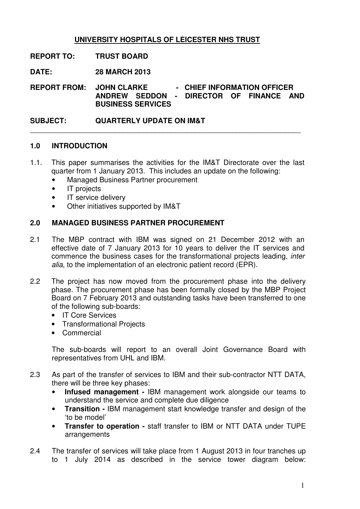# **UNIVERSITY HOSPITALS OF LEICESTER NHS TRUST**

**REPORT TO: TRUST BOARD** 

**DATE: 28 MARCH 2013** 

**REPORT FROM: JOHN CLARKE - CHIEF INFORMATION OFFICER ANDREW SEDDON - DIRECTOR OF FINANCE AND BUSINESS SERVICES** 

 $\overline{\phantom{a}}$  , and the contribution of the contribution of the contribution of the contribution of the contribution of the contribution of the contribution of the contribution of the contribution of the contribution of the

**SUBJECT: QUARTERLY UPDATE ON IM&T** 

### **1.0 INTRODUCTION**

- 1.1. This paper summarises the activities for the IM&T Directorate over the last quarter from 1 January 2013. This includes an update on the following:
	- Managed Business Partner procurement
	- IT projects
	- IT service delivery
	- Other initiatives supported by IM&T

#### **2.0 MANAGED BUSINESS PARTNER PROCUREMENT**

- 2.1 The MBP contract with IBM was signed on 21 December 2012 with an effective date of 7 January 2013 for 10 years to deliver the IT services and commence the business cases for the transformational projects leading, inter alia, to the implementation of an electronic patient record (EPR).
- 2.2 The project has now moved from the procurement phase into the delivery phase. The procurement phase has been formally closed by the MBP Project Board on 7 February 2013 and outstanding tasks have been transferred to one of the following sub-boards:
	- IT Core Services
	- Transformational Projects
	- Commercial

The sub-boards will report to an overall Joint Governance Board with representatives from UHL and IBM.

- 2.3 As part of the transfer of services to IBM and their sub-contractor NTT DATA, there will be three key phases:
	- • **Infused management** IBM management work alongside our teams to understand the service and complete due diligence
	- • **Transition** IBM management start knowledge transfer and design of the 'to be model'
	- • **Transfer to operation** staff transfer to IBM or NTT DATA under TUPE arrangements
- 2.4 The transfer of services will take place from 1 August 2013 in four tranches up to 1 July 2014 as described in the service tower diagram below: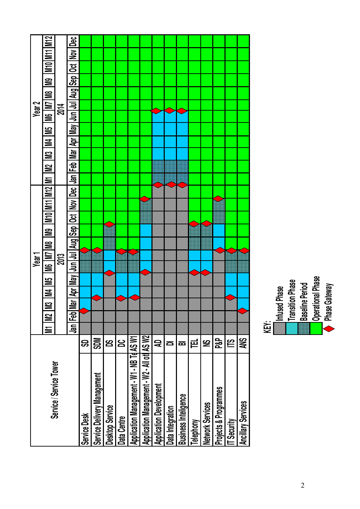| Mar   Apr  <br>Nov Dec Jan Feb<br>M10 M11 M12 M1<br><u>රූ</u>                                                       | M2 IM3 IM4 IM5 | 2014 | M6   M7   M8 | May  Jun  Jul  Aug  Sep | M9 M10 M11 M11<br>$\geq$<br><u>ප</u><br>Year <sub>2</sub> |
|---------------------------------------------------------------------------------------------------------------------|----------------|------|--------------|-------------------------|-----------------------------------------------------------|
| Jun   Jul   Aug   Sep<br>M6   M7   M8   M9<br>2013<br>Year <sup>-</sup><br>May  <br>IM4 IM5<br>ă<br>្ត្<br><u>ត</u> |                |      |              |                         |                                                           |
|                                                                                                                     |                |      |              |                         |                                                           |
|                                                                                                                     |                |      |              |                         |                                                           |
|                                                                                                                     |                |      |              |                         |                                                           |
|                                                                                                                     |                |      |              |                         |                                                           |
|                                                                                                                     |                |      |              |                         |                                                           |
|                                                                                                                     |                |      |              |                         |                                                           |
|                                                                                                                     |                |      |              |                         |                                                           |
|                                                                                                                     |                |      |              |                         |                                                           |
|                                                                                                                     |                |      |              |                         |                                                           |
|                                                                                                                     |                |      |              |                         |                                                           |
|                                                                                                                     |                |      |              |                         |                                                           |
|                                                                                                                     |                |      |              |                         |                                                           |
|                                                                                                                     |                |      |              |                         |                                                           |

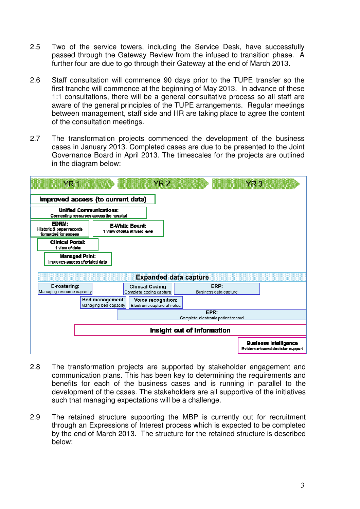- 2.5 Two of the service towers, including the Service Desk, have successfully passed through the Gateway Review from the infused to transition phase. A further four are due to go through their Gateway at the end of March 2013.
- 2.6 Staff consultation will commence 90 days prior to the TUPE transfer so the first tranche will commence at the beginning of May 2013. In advance of these 1:1 consultations, there will be a general consultative process so all staff are aware of the general principles of the TUPE arrangements. Regular meetings between management, staff side and HR are taking place to agree the content of the consultation meetings.
- 2.7 The transformation projects commenced the development of the business cases in January 2013. Completed cases are due to be presented to the Joint Governance Board in April 2013. The timescales for the projects are outlined in the diagram below:



- 2.8 The transformation projects are supported by stakeholder engagement and communication plans. This has been key to determining the requirements and benefits for each of the business cases and is running in parallel to the development of the cases. The stakeholders are all supportive of the initiatives such that managing expectations will be a challenge.
- 2.9 The retained structure supporting the MBP is currently out for recruitment through an Expressions of Interest process which is expected to be completed by the end of March 2013. The structure for the retained structure is described below: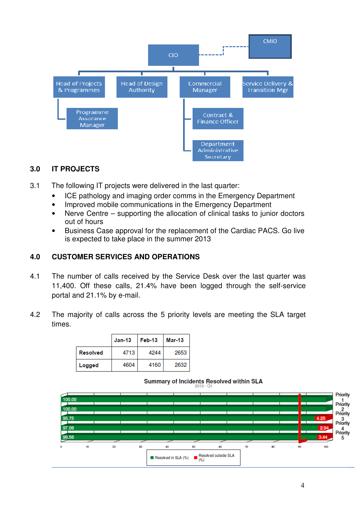

## **3.0 IT PROJECTS**

- 3.1 The following IT projects were delivered in the last quarter:
	- ICE pathology and imaging order comms in the Emergency Department
	- Improved mobile communications in the Emergency Department
	- Nerve Centre supporting the allocation of clinical tasks to junior doctors out of hours
	- Business Case approval for the replacement of the Cardiac PACS. Go live is expected to take place in the summer 2013

## **4.0 CUSTOMER SERVICES AND OPERATIONS**

- 4.1 The number of calls received by the Service Desk over the last quarter was 11,400. Off these calls, 21.4% have been logged through the self-service portal and 21.1% by e-mail.
- 4.2 The majority of calls across the 5 priority levels are meeting the SLA target times.

|                 | $Jan-13$ | Feb-13 | Mar-13 |
|-----------------|----------|--------|--------|
| <b>Resolved</b> | 4713     | 4244   | 2653   |
| Logged          | 4604     | 4160   | 2632   |

#### **Summary of Incidents Resolved within SLA**